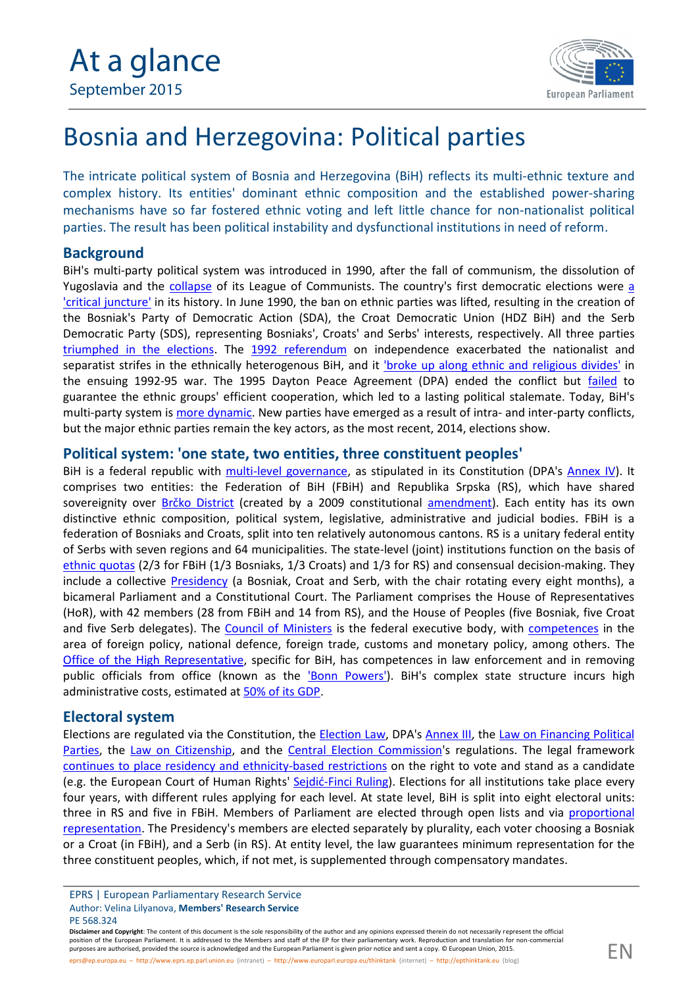

# Bosnia and Herzegovina: Political parties

The intricate political system of Bosnia and Herzegovina (BiH) reflects its multi-ethnic texture and complex history. Its entities' dominant ethnic composition and the established power-sharing mechanisms have so far fostered ethnic voting and left little chance for non-nationalist political parties. The result has been political instability and dysfunctional institutions in need of reform.

## **Background**

BiH's multi-party political system was introduced in 1990, after the fall of communism, the dissolution of Yugoslavia and the [collapse](http://www.rosalux.de/fileadmin/rls_uploads/pdfs/southeast-europe/Lev_Centrih_RPS2.pdf) of its League of Communists. The country's first democratic elections were [a](http://www.tandfonline.com/doi/pdf/10.1080/14683857.2014.974379) ['critical juncture'](http://www.tandfonline.com/doi/pdf/10.1080/14683857.2014.974379) in its history. In June 1990, the ban on ethnic parties was lifted, resulting in the creation of the Bosniak's Party of Democratic Action (SDA), the Croat Democratic Union (HDZ BiH) and the Serb Democratic Party (SDS), representing Bosniaks', Croats' and Serbs' interests, respectively. All three parties [triumphed in the elections.](http://www.tandfonline.com/doi/pdf/10.1080/14683857.2014.974370) The [1992 referendum](https://www.google.bg/url?sa=t&rct=j&q=&esrc=s&source=web&cd=2&cad=rja&uact=8&ved=0CCwQFjABahUKEwi_l7mV-enGAhUqK9sKHb92AlQ&url=http%3A%2F%2Fwww.csce.gov%2Findex.cfm%3FFuseAction%3DFiles.Download%26FileStore_id%3D331&ei=RAmtVb_lMarW7Aa_7YmgBQ&v6u=https%3A%2F%2Fs-v6exp1-ds.metric.gstatic.com%2Fgen_204%3Fip%3D136.173.162.144%26ts%3D1437403461161255%26auth%3Ddhwyw4g7qfgtzoypkhbkbem3cqhivxdx%26rndm%3D0.5559626434087834&v6s=2&v6t=3878&usg=AFQjCNGjnRTnE0RA0TDsMNabmZo-hax8Pg&bvm=bv.98197061,d.ZGU) on independence exacerbated the nationalist and separatist strifes in the ethnically heterogenous BiH, and it 'broke up along [ethnic and religious divides'](http://www.oecd.org/countries/bosniaandherzegovina/46817943.pdf) in the ensuing 1992-95 war. The 1995 Dayton Peace Agreement (DPA) ended the conflict but [failed](http://www.usip.org/sites/default/files/SRoct06_2.pdf) to guarantee the ethnic groups' efficient cooperation, which led to a lasting political stalemate. Today, BiH's multi-party system is [more dynamic.](http://cps.ba/wp-content/uploads/2013/09/POLITICAL-SYSTEM-OF-BiH_FINAL.pdf) New parties have emerged as a result of intra- and inter-party conflicts, but the major ethnic parties remain the key actors, as the most recent, 2014, elections show.

#### **Political system: 'one state, two entities, three constituent peoples'**

BiH is a federal republic with [multi-level governanc](http://www.dei.gov.ba/dei/dokumenti/uskladjivanje/default.aspx?id=13859&langTag=bs-BA)e, as stipulated in its Constitution (DPA's [Annex IV](http://www.ohr.int/dpa/?content_id=372)). It comprises two entities: the Federation of BiH (FBiH) and Republika Srpska (RS), which have shared sovereignity over Brčko [District](http://www.ohr.int/ohr-offices/brcko/default.asp?content_id=5367) (created by a 2009 constitutional [amendment\)](http://www.ohr.int/ohr-dept/legal/laws-of-bih/pdf/001 - Constitutions/BH/BH Amendment I to BH Constitution 25-09.pdf). Each entity has its own distinctive ethnic composition, political system, legislative, administrative and judicial bodies. FBiH is a federation of Bosniaks and Croats, split into ten relatively autonomous cantons. RS is a unitary federal entity of Serbs with seven regions and 64 municipalities. The state-level (joint) institutions function on the basis of [ethnic quotas](http://www.suedosteuropa.uni-graz.at/biepag/node/88) (2/3 for FBiH (1/3 Bosniaks, 1/3 Croats) and 1/3 for RS) and consensual decision-making. They include a collective [Presidency](http://www.predsjednistvobih.ba/Default.aspx?pageIndex=1&langTag=en-US) (a Bosniak, Croat and Serb, with the chair rotating every eight months), a bicameral Parliament and a Constitutional Court. The Parliament comprises the House of Representatives (HoR), with 42 members (28 from FBiH and 14 from RS), and the House of Peoples (five Bosniak, five Croat and five Serb delegates). The [Council of Minister](http://www.vijeceministara.gov.ba/o_vijecu_ministara/default.aspx?id=1752&langTag=en-US)s is the federal executive body, with [competences](https://portal.cor.europa.eu/divisionpowers/countries/Potential-Candidates/BAH/Pages/default.aspx) in the area of foreign policy, national defence, foreign trade, customs and monetary policy, among others. The [Office of the High Representative](http://www.ohr.int/ohr-info/gen-info/), specific for BiH, has competences in law enforcement and in removing public officials from office (known as the ['Bonn Powers'](http://www.ohr.int/pic/default.asp?content_id=5182)). BiH's complex state structure incurs high administrative costs, estimated at 50% of its [GDP.](http://www.worldbank.org/content/dam/Worldbank/document/eca/BH-Snapshot.pdf)

#### **Electoral system**

[Election](https://www.izbori.ba/Documents/documents/English/Laws/Election_Law_of_BiH-eng.pdf)s are regulated via the Constitution, the **Election Law**, DPA's **[Annex III](http://www.nato.int/ifor/gfa/gfa-an3.htm)**, the [Law on Financing Political](https://www.izbori.ba/Documents/documents/ZAKONI/PPF_Law_new.pdf) [Parties,](https://www.izbori.ba/Documents/documents/ZAKONI/PPF_Law_new.pdf) the [Law on Citizenship](http://www.refworld.org/pdfid/53171f604.pdf), and the [Central Election Commission](https://www.izbori.ba/Default.aspx?CategoryID=114&Lang=6&Id=807)'s regulations. The legal framework continues to place residency and [ethnicity-based restrictions](http://www.osce.org/odihr/elections/bih/133511?download=true) on the right to vote and stand as a candidate (e.g. the European Court of Human Rights' [Sejdić-Finci](http://www.europarl.europa.eu/RegData/etudes/ATAG/2015/559501/EPRS_ATA%282015%29559501_EN.pdf) Ruling). Elections for all institutions take place every four years, with different rules applying for each level. At state level, BiH is split into eight electoral units: three in RS and five in FBiH. Members of Parliament are elected through open lists and via [proportional](http://www.venice.coe.int/webforms/documents/default.aspx?pdffile=CDL-AD%282015%29001-e) [representation.](http://www.venice.coe.int/webforms/documents/default.aspx?pdffile=CDL-AD%282015%29001-e) The Presidency's members are elected separately by plurality, each voter choosing a Bosniak or a Croat (in FBiH), and a Serb (in RS). At entity level, the law guarantees minimum representation for the three constituent peoples, which, if not met, is supplemented through compensatory mandates.

Disclaimer and Copyright: The content of this document is the sole responsibility of the author and any opinions expressed therein do not necessarily represent the official position of the European Parliament. It is addressed to the Members and staff of the EP for their parliamentary work. Reproduction and translation for non-commercial purposes are authorised, provided the source is acknowledged and the European Parliament is given prior notice and sent a copy. © European Union, 2015.

EPRS | European Parliamentary Research Service Author: Velina Lilyanova, **Members' Research Service** PE 568.324